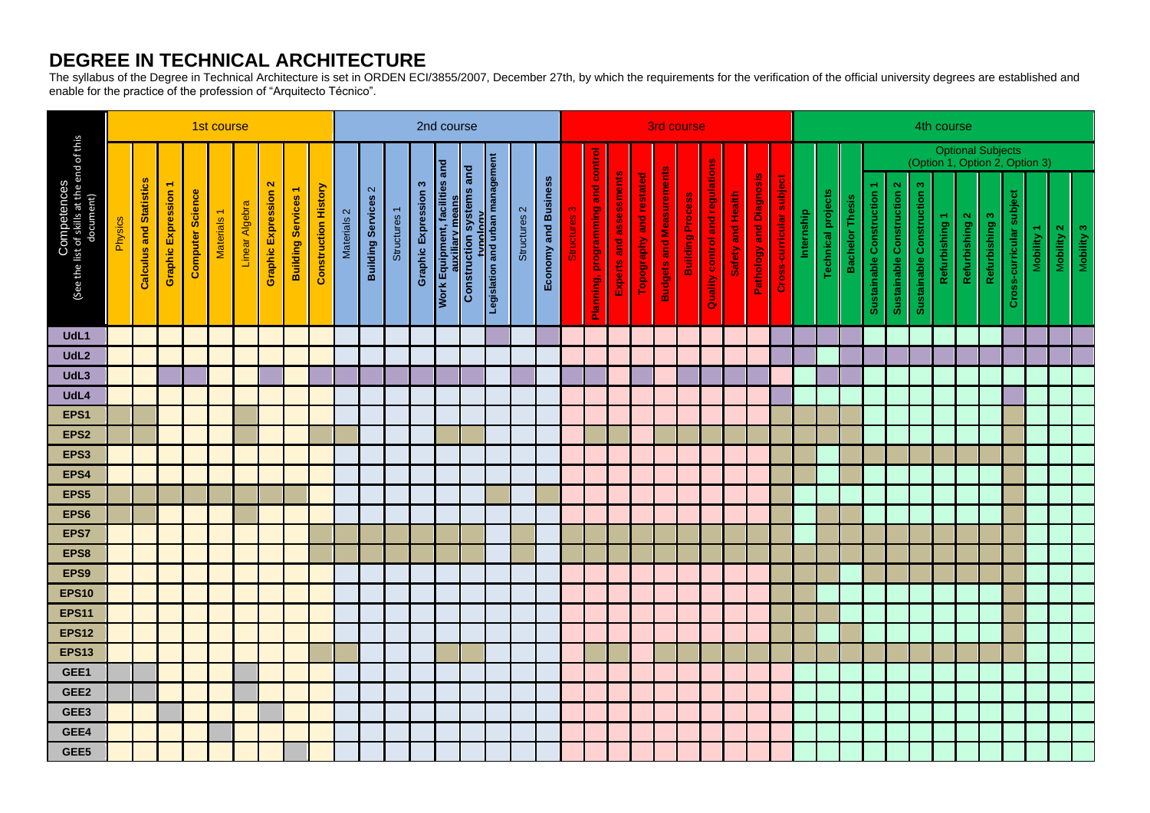## **DEGREE IN TECHNICAL ARCHITECTURE**

The syllabus of the Degree in Technical Architecture is set in ORDEN ECI/3855/2007, December 27th, by which the requirements for the verification of the official university degrees are established and enable for the practice of the profession of "Arquitecto Técnico".

| Competences<br>(See the list of skills at the end of this<br>document) |                |                                |                             |                         | 1st course             |                |                                           |                               |                             |             | 2nd course                                    |              |                             |                                                                                                                    |  |  |                         |                      |                       |                                   | 3rd course              |                         |                                 |                         |                                 |                   |                                |                          |            | 4th course                |                        |                                                     |                                   |                                   |                |                |                |                              |            |            |            |  |
|------------------------------------------------------------------------|----------------|--------------------------------|-----------------------------|-------------------------|------------------------|----------------|-------------------------------------------|-------------------------------|-----------------------------|-------------|-----------------------------------------------|--------------|-----------------------------|--------------------------------------------------------------------------------------------------------------------|--|--|-------------------------|----------------------|-----------------------|-----------------------------------|-------------------------|-------------------------|---------------------------------|-------------------------|---------------------------------|-------------------|--------------------------------|--------------------------|------------|---------------------------|------------------------|-----------------------------------------------------|-----------------------------------|-----------------------------------|----------------|----------------|----------------|------------------------------|------------|------------|------------|--|
|                                                                        |                |                                |                             |                         |                        |                |                                           |                               |                             |             |                                               |              |                             |                                                                                                                    |  |  |                         |                      |                       |                                   |                         |                         |                                 |                         |                                 |                   |                                |                          |            |                           |                        | Optional Subjects<br>(Option 1, Option 2, Option 3) |                                   |                                   |                |                |                |                              |            |            |            |  |
|                                                                        | <b>Physics</b> | <b>Calculus and Statistics</b> | <b>Graphic Expression 1</b> | <b>Computer Science</b> | Materials <sub>1</sub> | Linear Algebra | $\mathbf{N}$<br><b>Graphic Expression</b> | ٣<br><b>Building Services</b> | <b>Construction History</b> | Materials 2 | $\mathbf{\Omega}$<br><b>Building Services</b> | Structures 1 | <b>Graphic Expression 3</b> | Work Equipment, facilities and<br>auxiliary means<br>Construction systems and<br>tropislation and urban management |  |  | Structures <sub>2</sub> | Economy and Business | ო<br><u>Structure</u> | Planning, programming and control | Experts and assessments | Topography and restated | <b>Budgets and Measurements</b> | <b>Building Process</b> | Quality control and regulations | Safety and Health | <b>Pathology and Diagnosis</b> | Cross-curricular subject | Internship | <b>Technical projects</b> | <b>Bachelor Thesis</b> | Sustainable Construction 1                          | <b>Sustainable Construction 2</b> | <b>Sustainable Construction 3</b> | Refurbishing 1 | Refurbishing 2 | Refurbishing 3 | jact<br>Cross-curricular sub | Mobility 1 | Mobility 2 | Mobility 3 |  |
| UdL1                                                                   |                |                                |                             |                         |                        |                |                                           |                               |                             |             |                                               |              |                             |                                                                                                                    |  |  |                         |                      |                       |                                   |                         |                         |                                 |                         |                                 |                   |                                |                          |            |                           |                        |                                                     |                                   |                                   |                |                |                |                              |            |            |            |  |
| UdL <sub>2</sub>                                                       |                |                                |                             |                         |                        |                |                                           |                               |                             |             |                                               |              |                             |                                                                                                                    |  |  |                         |                      |                       |                                   |                         |                         |                                 |                         |                                 |                   |                                |                          |            |                           |                        |                                                     |                                   |                                   |                |                |                |                              |            |            |            |  |
| UdL3                                                                   |                |                                |                             |                         |                        |                |                                           |                               |                             |             |                                               |              |                             |                                                                                                                    |  |  |                         |                      |                       |                                   |                         |                         |                                 |                         |                                 |                   |                                |                          |            |                           |                        |                                                     |                                   |                                   |                |                |                |                              |            |            |            |  |
| UdL4<br>EPS <sub>1</sub>                                               |                |                                |                             |                         |                        |                |                                           |                               |                             |             |                                               |              |                             |                                                                                                                    |  |  |                         |                      |                       |                                   |                         |                         |                                 |                         |                                 |                   |                                |                          |            |                           |                        |                                                     |                                   |                                   |                |                |                |                              |            |            |            |  |
| EPS <sub>2</sub>                                                       |                |                                |                             |                         |                        |                |                                           |                               |                             |             |                                               |              |                             |                                                                                                                    |  |  |                         |                      |                       |                                   |                         |                         |                                 |                         |                                 |                   |                                |                          |            |                           |                        |                                                     |                                   |                                   |                |                |                |                              |            |            |            |  |
| EPS3                                                                   |                |                                |                             |                         |                        |                |                                           |                               |                             |             |                                               |              |                             |                                                                                                                    |  |  |                         |                      |                       |                                   |                         |                         |                                 |                         |                                 |                   |                                |                          |            |                           |                        |                                                     |                                   |                                   |                |                |                |                              |            |            |            |  |
| EPS4                                                                   |                |                                |                             |                         |                        |                |                                           |                               |                             |             |                                               |              |                             |                                                                                                                    |  |  |                         |                      |                       |                                   |                         |                         |                                 |                         |                                 |                   |                                |                          |            |                           |                        |                                                     |                                   |                                   |                |                |                |                              |            |            |            |  |
| EPS5                                                                   |                |                                |                             |                         |                        |                |                                           |                               |                             |             |                                               |              |                             |                                                                                                                    |  |  |                         |                      |                       |                                   |                         |                         |                                 |                         |                                 |                   |                                |                          |            |                           |                        |                                                     |                                   |                                   |                |                |                |                              |            |            |            |  |
| EPS6                                                                   |                |                                |                             |                         |                        |                |                                           |                               |                             |             |                                               |              |                             |                                                                                                                    |  |  |                         |                      |                       |                                   |                         |                         |                                 |                         |                                 |                   |                                |                          |            |                           |                        |                                                     |                                   |                                   |                |                |                |                              |            |            |            |  |
| EPS7                                                                   |                |                                |                             |                         |                        |                |                                           |                               |                             |             |                                               |              |                             |                                                                                                                    |  |  |                         |                      |                       |                                   |                         |                         |                                 |                         |                                 |                   |                                |                          |            |                           |                        |                                                     |                                   |                                   |                |                |                |                              |            |            |            |  |
| EPS8                                                                   |                |                                |                             |                         |                        |                |                                           |                               |                             |             |                                               |              |                             |                                                                                                                    |  |  |                         |                      |                       |                                   |                         |                         |                                 |                         |                                 |                   |                                |                          |            |                           |                        |                                                     |                                   |                                   |                |                |                |                              |            |            |            |  |
| EPS9                                                                   |                |                                |                             |                         |                        |                |                                           |                               |                             |             |                                               |              |                             |                                                                                                                    |  |  |                         |                      |                       |                                   |                         |                         |                                 |                         |                                 |                   |                                |                          |            |                           |                        |                                                     |                                   |                                   |                |                |                |                              |            |            |            |  |
| <b>EPS10</b>                                                           |                |                                |                             |                         |                        |                |                                           |                               |                             |             |                                               |              |                             |                                                                                                                    |  |  |                         |                      |                       |                                   |                         |                         |                                 |                         |                                 |                   |                                |                          |            |                           |                        |                                                     |                                   |                                   |                |                |                |                              |            |            |            |  |
| <b>EPS11</b>                                                           |                |                                |                             |                         |                        |                |                                           |                               |                             |             |                                               |              |                             |                                                                                                                    |  |  |                         |                      |                       |                                   |                         |                         |                                 |                         |                                 |                   |                                |                          |            |                           |                        |                                                     |                                   |                                   |                |                |                |                              |            |            |            |  |
| <b>EPS12</b>                                                           |                |                                |                             |                         |                        |                |                                           |                               |                             |             |                                               |              |                             |                                                                                                                    |  |  |                         |                      |                       |                                   |                         |                         |                                 |                         |                                 |                   |                                |                          |            |                           |                        |                                                     |                                   |                                   |                |                |                |                              |            |            |            |  |
| <b>EPS13</b>                                                           |                |                                |                             |                         |                        |                |                                           |                               |                             |             |                                               |              |                             |                                                                                                                    |  |  |                         |                      |                       |                                   |                         |                         |                                 |                         |                                 |                   |                                |                          |            |                           |                        |                                                     |                                   |                                   |                |                |                |                              |            |            |            |  |
| GEE1                                                                   |                |                                |                             |                         |                        |                |                                           |                               |                             |             |                                               |              |                             |                                                                                                                    |  |  |                         |                      |                       |                                   |                         |                         |                                 |                         |                                 |                   |                                |                          |            |                           |                        |                                                     |                                   |                                   |                |                |                |                              |            |            |            |  |
| GEE2                                                                   |                |                                |                             |                         |                        |                |                                           |                               |                             |             |                                               |              |                             |                                                                                                                    |  |  |                         |                      |                       |                                   |                         |                         |                                 |                         |                                 |                   |                                |                          |            |                           |                        |                                                     |                                   |                                   |                |                |                |                              |            |            |            |  |
| GEE3                                                                   |                |                                |                             |                         |                        |                |                                           |                               |                             |             |                                               |              |                             |                                                                                                                    |  |  |                         |                      |                       |                                   |                         |                         |                                 |                         |                                 |                   |                                |                          |            |                           |                        |                                                     |                                   |                                   |                |                |                |                              |            |            |            |  |
| GEE4                                                                   |                |                                |                             |                         |                        |                |                                           |                               |                             |             |                                               |              |                             |                                                                                                                    |  |  |                         |                      |                       |                                   |                         |                         |                                 |                         |                                 |                   |                                |                          |            |                           |                        |                                                     |                                   |                                   |                |                |                |                              |            |            |            |  |
| GEE5                                                                   |                |                                |                             |                         |                        |                |                                           |                               |                             |             |                                               |              |                             |                                                                                                                    |  |  |                         |                      |                       |                                   |                         |                         |                                 |                         |                                 |                   |                                |                          |            |                           |                        |                                                     |                                   |                                   |                |                |                |                              |            |            |            |  |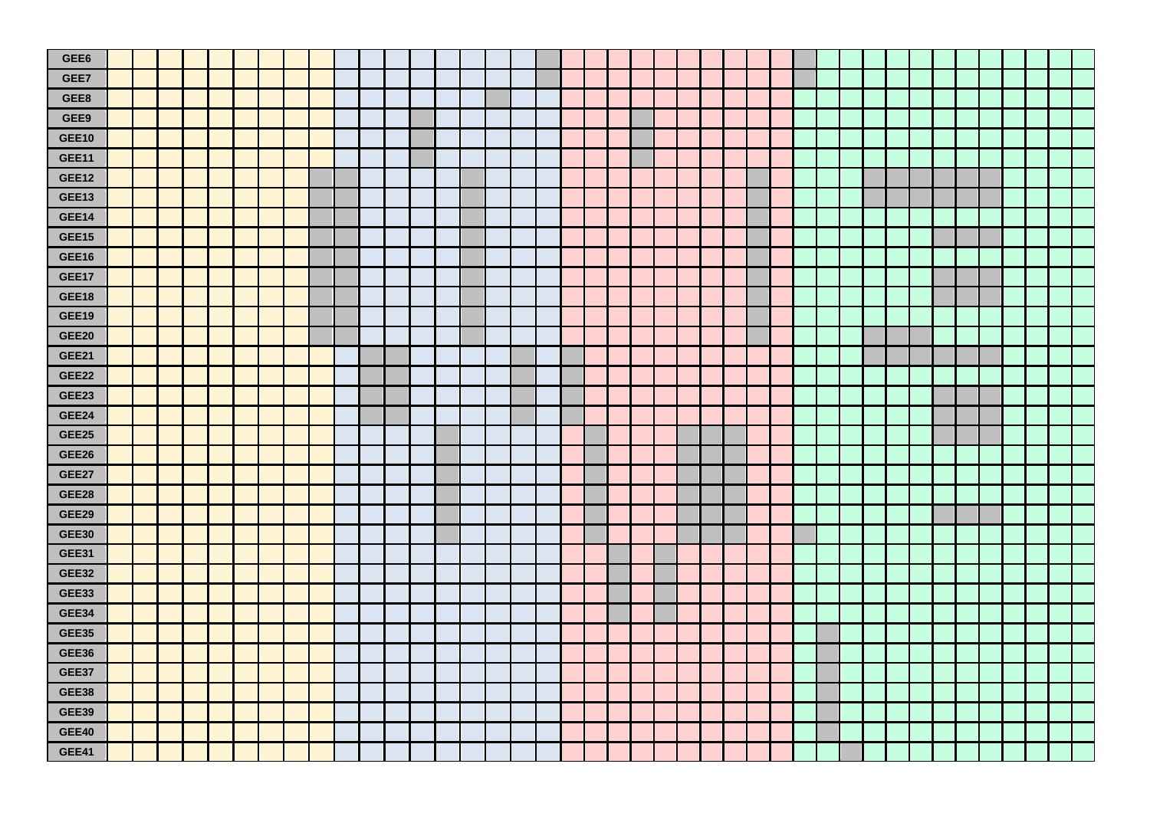| GEE6         |  |  |  |  |  |  |  |  |  |  |  |  |  |  |  |  |  |  |  |  |
|--------------|--|--|--|--|--|--|--|--|--|--|--|--|--|--|--|--|--|--|--|--|
| GEE7         |  |  |  |  |  |  |  |  |  |  |  |  |  |  |  |  |  |  |  |  |
| GEE8         |  |  |  |  |  |  |  |  |  |  |  |  |  |  |  |  |  |  |  |  |
| GEE9         |  |  |  |  |  |  |  |  |  |  |  |  |  |  |  |  |  |  |  |  |
| <b>GEE10</b> |  |  |  |  |  |  |  |  |  |  |  |  |  |  |  |  |  |  |  |  |
| GEE11        |  |  |  |  |  |  |  |  |  |  |  |  |  |  |  |  |  |  |  |  |
| GEE12        |  |  |  |  |  |  |  |  |  |  |  |  |  |  |  |  |  |  |  |  |
| <b>GEE13</b> |  |  |  |  |  |  |  |  |  |  |  |  |  |  |  |  |  |  |  |  |
| <b>GEE14</b> |  |  |  |  |  |  |  |  |  |  |  |  |  |  |  |  |  |  |  |  |
| GEE15        |  |  |  |  |  |  |  |  |  |  |  |  |  |  |  |  |  |  |  |  |
| GEE16        |  |  |  |  |  |  |  |  |  |  |  |  |  |  |  |  |  |  |  |  |
| GEE17        |  |  |  |  |  |  |  |  |  |  |  |  |  |  |  |  |  |  |  |  |
| GEE18        |  |  |  |  |  |  |  |  |  |  |  |  |  |  |  |  |  |  |  |  |
| GEE19        |  |  |  |  |  |  |  |  |  |  |  |  |  |  |  |  |  |  |  |  |
| GEE20        |  |  |  |  |  |  |  |  |  |  |  |  |  |  |  |  |  |  |  |  |
| GEE21        |  |  |  |  |  |  |  |  |  |  |  |  |  |  |  |  |  |  |  |  |
| GEE22        |  |  |  |  |  |  |  |  |  |  |  |  |  |  |  |  |  |  |  |  |
| GEE23        |  |  |  |  |  |  |  |  |  |  |  |  |  |  |  |  |  |  |  |  |
| GEE24        |  |  |  |  |  |  |  |  |  |  |  |  |  |  |  |  |  |  |  |  |
| GEE25        |  |  |  |  |  |  |  |  |  |  |  |  |  |  |  |  |  |  |  |  |
| GEE26        |  |  |  |  |  |  |  |  |  |  |  |  |  |  |  |  |  |  |  |  |
| GEE27        |  |  |  |  |  |  |  |  |  |  |  |  |  |  |  |  |  |  |  |  |
| GEE28        |  |  |  |  |  |  |  |  |  |  |  |  |  |  |  |  |  |  |  |  |
| GEE29        |  |  |  |  |  |  |  |  |  |  |  |  |  |  |  |  |  |  |  |  |
| <b>GEE30</b> |  |  |  |  |  |  |  |  |  |  |  |  |  |  |  |  |  |  |  |  |
| <b>GEE31</b> |  |  |  |  |  |  |  |  |  |  |  |  |  |  |  |  |  |  |  |  |
| GEE32        |  |  |  |  |  |  |  |  |  |  |  |  |  |  |  |  |  |  |  |  |
| GEE33        |  |  |  |  |  |  |  |  |  |  |  |  |  |  |  |  |  |  |  |  |
| GEE34        |  |  |  |  |  |  |  |  |  |  |  |  |  |  |  |  |  |  |  |  |
| GEE35        |  |  |  |  |  |  |  |  |  |  |  |  |  |  |  |  |  |  |  |  |
| GEE36        |  |  |  |  |  |  |  |  |  |  |  |  |  |  |  |  |  |  |  |  |
| GEE37        |  |  |  |  |  |  |  |  |  |  |  |  |  |  |  |  |  |  |  |  |
| GEE38        |  |  |  |  |  |  |  |  |  |  |  |  |  |  |  |  |  |  |  |  |
| <b>GEE39</b> |  |  |  |  |  |  |  |  |  |  |  |  |  |  |  |  |  |  |  |  |
| GEE40        |  |  |  |  |  |  |  |  |  |  |  |  |  |  |  |  |  |  |  |  |
| GEE41        |  |  |  |  |  |  |  |  |  |  |  |  |  |  |  |  |  |  |  |  |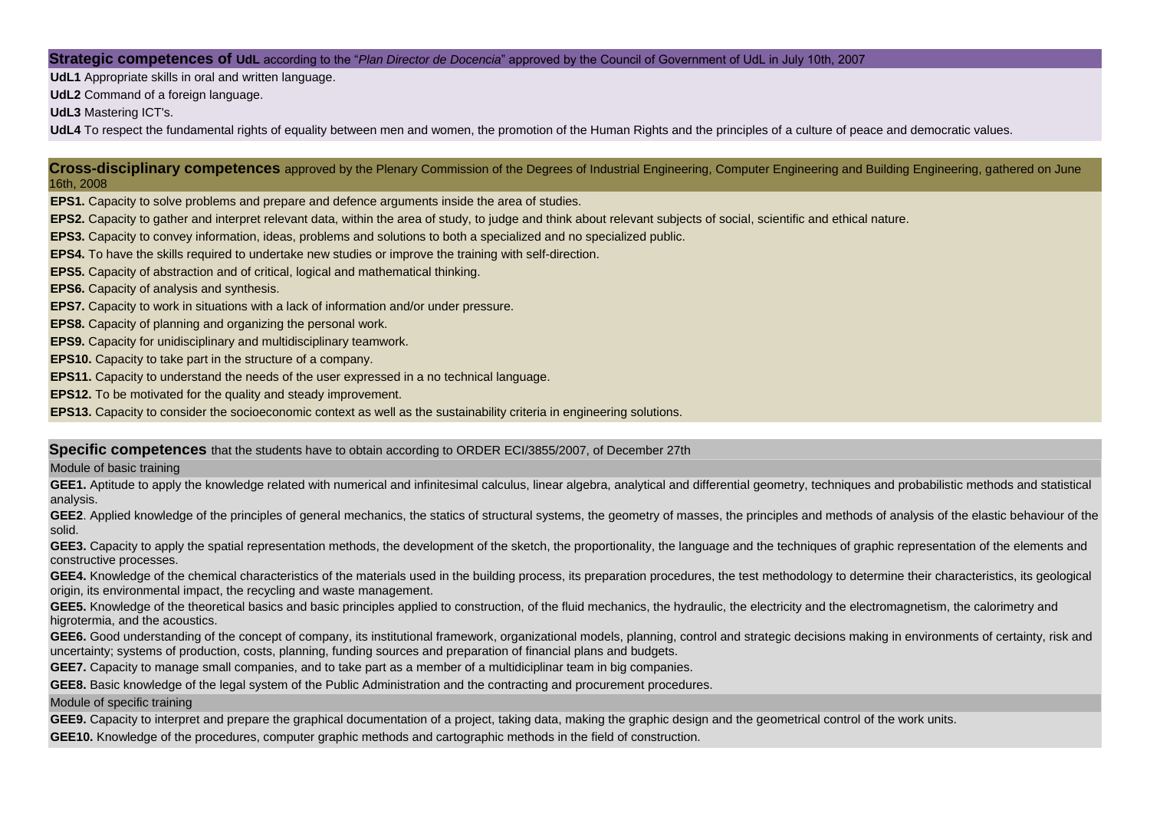## **Strategic competences of UdL** according to the "*Plan Director de Docencia*" approved by the Council of Government of UdL in July 10th, 2007

**UdL1** Appropriate skills in oral and written language.

**UdL2** Command of a foreign language.

**UdL3** Mastering ICT's.

**UdL4** To respect the fundamental rights of equality between men and women, the promotion of the Human Rights and the principles of a culture of peace and democratic values.

**Cross-disciplinary competences** approved by the Plenary Commission of the Degrees of Industrial Engineering, Computer Engineering and Building Engineering, gathered on June 16th, 2008

**EPS1.** Capacity to solve problems and prepare and defence arguments inside the area of studies.

**EPS2.** Capacity to gather and interpret relevant data, within the area of study, to judge and think about relevant subjects of social, scientific and ethical nature.

**EPS3.** Capacity to convey information, ideas, problems and solutions to both a specialized and no specialized public.

**EPS4.** To have the skills required to undertake new studies or improve the training with self-direction.

**EPS5.** Capacity of abstraction and of critical, logical and mathematical thinking.

**EPS6.** Capacity of analysis and synthesis.

**EPS7.** Capacity to work in situations with a lack of information and/or under pressure.

**EPS8.** Capacity of planning and organizing the personal work.

**EPS9.** Capacity for unidisciplinary and multidisciplinary teamwork.

**EPS10.** Capacity to take part in the structure of a company.

**EPS11.** Capacity to understand the needs of the user expressed in a no technical language.

**EPS12.** To be motivated for the quality and steady improvement.

**EPS13.** Capacity to consider the socioeconomic context as well as the sustainability criteria in engineering solutions.

## **Specific competences** that the students have to obtain according to ORDER ECI/3855/2007, of December 27th

## Module of basic training

GEE1. Aptitude to apply the knowledge related with numerical and infinitesimal calculus, linear algebra, analytical and differential geometry, techniques and probabilistic methods and statistical analysis.

**GEE2**. Applied knowledge of the principles of general mechanics, the statics of structural systems, the geometry of masses, the principles and methods of analysis of the elastic behaviour of the solid.

GEE3. Capacity to apply the spatial representation methods, the development of the sketch, the proportionality, the language and the techniques of graphic representation of the elements and constructive processes.

GEE4. Knowledge of the chemical characteristics of the materials used in the building process, its preparation procedures, the test methodology to determine their characteristics, its geological origin, its environmental impact, the recycling and waste management.

GEE5. Knowledge of the theoretical basics and basic principles applied to construction, of the fluid mechanics, the hydraulic, the electricity and the electromagnetism, the calorimetry and higrotermia, and the acoustics.

GEE6. Good understanding of the concept of company, its institutional framework, organizational models, planning, control and strategic decisions making in environments of certainty, risk and uncertainty; systems of production, costs, planning, funding sources and preparation of financial plans and budgets.

**GEE7.** Capacity to manage small companies, and to take part as a member of a multidiciplinar team in big companies.

**GEE8.** Basic knowledge of the legal system of the Public Administration and the contracting and procurement procedures.

Module of specific training

**GEE9.** Capacity to interpret and prepare the graphical documentation of a project, taking data, making the graphic design and the geometrical control of the work units.

**GEE10.** Knowledge of the procedures, computer graphic methods and cartographic methods in the field of construction.